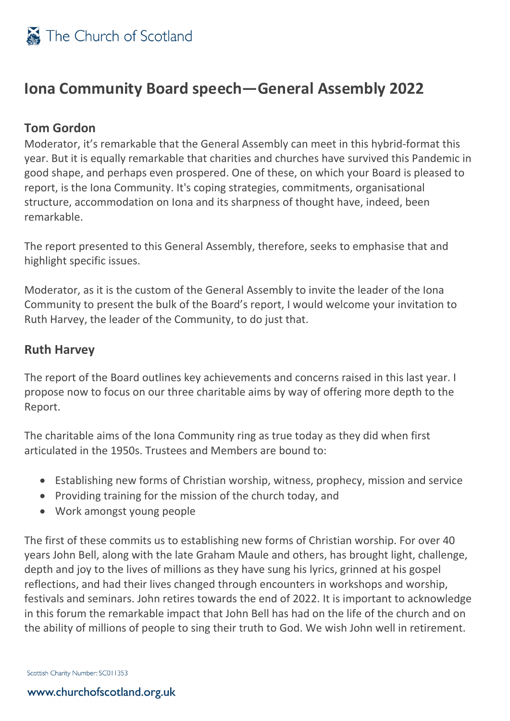

## **Iona Community Board speech—General Assembly 2022**

## **Tom Gordon**

Moderator, it's remarkable that the General Assembly can meet in this hybrid-format this year. But it is equally remarkable that charities and churches have survived this Pandemic in good shape, and perhaps even prospered. One of these, on which your Board is pleased to report, is the Iona Community. It's coping strategies, commitments, organisational structure, accommodation on Iona and its sharpness of thought have, indeed, been remarkable.

The report presented to this General Assembly, therefore, seeks to emphasise that and highlight specific issues.

Moderator, as it is the custom of the General Assembly to invite the leader of the Iona Community to present the bulk of the Board's report, I would welcome your invitation to Ruth Harvey, the leader of the Community, to do just that.

### **Ruth Harvey**

The report of the Board outlines key achievements and concerns raised in this last year. I propose now to focus on our three charitable aims by way of offering more depth to the Report.

The charitable aims of the Iona Community ring as true today as they did when first articulated in the 1950s. Trustees and Members are bound to:

- Establishing new forms of Christian worship, witness, prophecy, mission and service
- Providing training for the mission of the church today, and
- Work amongst young people

The first of these commits us to establishing new forms of Christian worship. For over 40 years John Bell, along with the late Graham Maule and others, has brought light, challenge, depth and joy to the lives of millions as they have sung his lyrics, grinned at his gospel reflections, and had their lives changed through encounters in workshops and worship, festivals and seminars. John retires towards the end of 2022. It is important to acknowledge in this forum the remarkable impact that John Bell has had on the life of the church and on the ability of millions of people to sing their truth to God. We wish John well in retirement.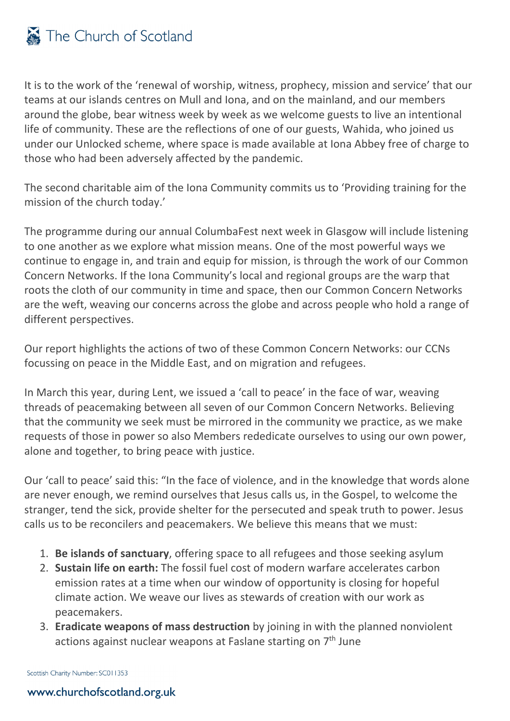It is to the work of the 'renewal of worship, witness, prophecy, mission and service' that our teams at our islands centres on Mull and Iona, and on the mainland, and our members around the globe, bear witness week by week as we welcome guests to live an intentional life of community. These are the reflections of one of our guests, Wahida, who joined us under our Unlocked scheme, where space is made available at Iona Abbey free of charge to those who had been adversely affected by the pandemic.

The second charitable aim of the Iona Community commits us to 'Providing training for the mission of the church today.'

The programme during our annual ColumbaFest next week in Glasgow will include listening to one another as we explore what mission means. One of the most powerful ways we continue to engage in, and train and equip for mission, is through the work of our Common Concern Networks. If the Iona Community's local and regional groups are the warp that roots the cloth of our community in time and space, then our Common Concern Networks are the weft, weaving our concerns across the globe and across people who hold a range of different perspectives.

Our report highlights the actions of two of these Common Concern Networks: our CCNs focussing on peace in the Middle East, and on migration and refugees.

In March this year, during Lent, we issued a 'call to peace' in the face of war, weaving threads of peacemaking between all seven of our Common Concern Networks. Believing that the community we seek must be mirrored in the community we practice, as we make requests of those in power so also Members rededicate ourselves to using our own power, alone and together, to bring peace with justice.

Our 'call to peace' said this: "In the face of violence, and in the knowledge that words alone are never enough, we remind ourselves that Jesus calls us, in the Gospel, to welcome the stranger, tend the sick, provide shelter for the persecuted and speak truth to power. Jesus calls us to be reconcilers and peacemakers. We believe this means that we must:

- 1. **Be islands of sanctuary**, offering space to all refugees and those seeking asylum
- 2. **Sustain life on earth:** The fossil fuel cost of modern warfare accelerates carbon emission rates at a time when our window of opportunity is closing for hopeful climate action. We weave our lives as stewards of creation with our work as peacemakers.
- 3. **Eradicate weapons of mass destruction** by joining in with the planned nonviolent actions against nuclear weapons at Faslane starting on  $7<sup>th</sup>$  June

Scottish Charity Number: SC011353

#### www.churchofscotland.org.uk